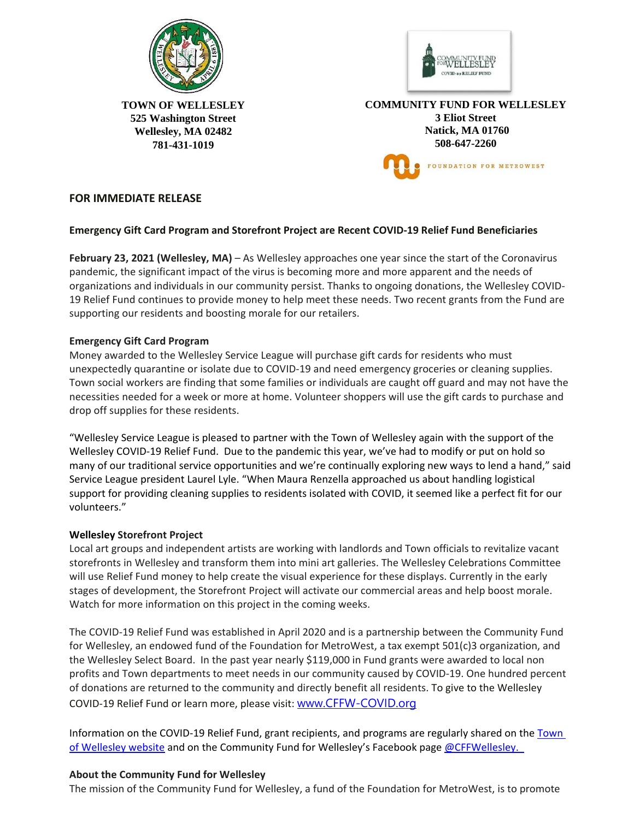



**TOWN OF WELLESLEY 525 Washington Street Wellesley, MA 02482 781-431-1019** 

**COMMUNITY FUND FOR WELLESLEY 3 Eliot Street Natick, MA 01760 508-647-2260** FOUNDATION FOR METROWEST

# **FOR IMMEDIATE RELEASE**

## **Emergency Gift Card Program and Storefront Project are Recent COVID-19 Relief Fund Beneficiaries**

**February 23, 2021 (Wellesley, MA)** – As Wellesley approaches one year since the start of the Coronavirus pandemic, the significant impact of the virus is becoming more and more apparent and the needs of organizations and individuals in our community persist. Thanks to ongoing donations, the Wellesley COVID-19 Relief Fund continues to provide money to help meet these needs. Two recent grants from the Fund are supporting our residents and boosting morale for our retailers.

## **Emergency Gift Card Program**

Money awarded to the Wellesley Service League will purchase gift cards for residents who must unexpectedly quarantine or isolate due to COVID-19 and need emergency groceries or cleaning supplies. Town social workers are finding that some families or individuals are caught off guard and may not have the necessities needed for a week or more at home. Volunteer shoppers will use the gift cards to purchase and drop off supplies for these residents.

"Wellesley Service League is pleased to partner with the Town of Wellesley again with the support of the Wellesley COVID-19 Relief Fund. Due to the pandemic this year, we've had to modify or put on hold so many of our traditional service opportunities and we're continually exploring new ways to lend a hand," said Service League president Laurel Lyle. "When Maura Renzella approached us about handling logistical support for providing cleaning supplies to residents isolated with COVID, it seemed like a perfect fit for our volunteers."

### **Wellesley Storefront Project**

Local art groups and independent artists are working with landlords and Town officials to revitalize vacant storefronts in Wellesley and transform them into mini art galleries. The Wellesley Celebrations Committee will use Relief Fund money to help create the visual experience for these displays. Currently in the early stages of development, the Storefront Project will activate our commercial areas and help boost morale. Watch for more information on this project in the coming weeks.

The COVID-19 Relief Fund was established in April 2020 and is a partnership between the Community Fund for Wellesley, an endowed fund of the Foundation for MetroWest, a tax exempt 501(c)3 organization, and the Wellesley Select Board. In the past year nearly \$119,000 in Fund grants were awarded to local non profits and Town departments to meet needs in our community caused by COVID-19. One hundred percent of donations are returned to the community and directly benefit all residents. To give to the Wellesley COVID-19 Relief Fund or learn more, please visit: [www.CFFW-COVID.org](http://www.cffw-covid.org/)

Information on the COVID-19 Relief Fund, grant recipients, and programs are regularly shared on the Town [of Wellesley website](http://www.wellesleyma.gov/) and on the Community Fund for Wellesley's Facebook page @CFFWellesley.

### **About the Community Fund for Wellesley**

The mission of the Community Fund for Wellesley, a fund of the Foundation for MetroWest, is to promote